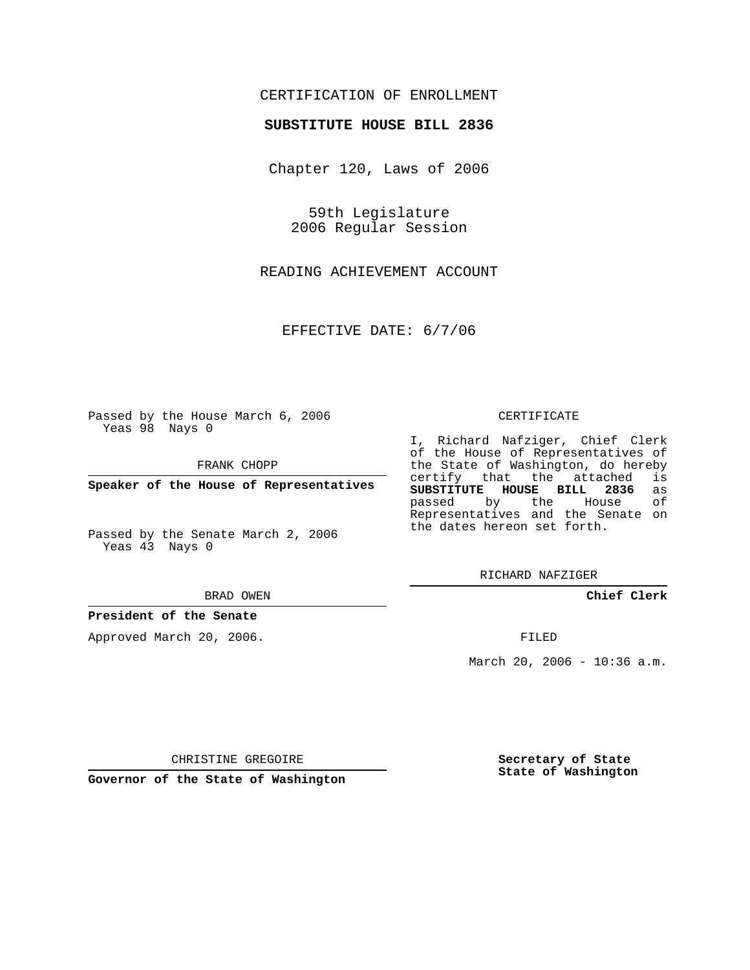## CERTIFICATION OF ENROLLMENT

#### **SUBSTITUTE HOUSE BILL 2836**

Chapter 120, Laws of 2006

59th Legislature 2006 Regular Session

READING ACHIEVEMENT ACCOUNT

EFFECTIVE DATE: 6/7/06

Passed by the House March 6, 2006 Yeas 98 Nays 0

FRANK CHOPP

**Speaker of the House of Representatives**

Passed by the Senate March 2, 2006 Yeas 43 Nays 0

BRAD OWEN

### **President of the Senate**

Approved March 20, 2006.

#### CERTIFICATE

I, Richard Nafziger, Chief Clerk of the House of Representatives of the State of Washington, do hereby<br>certify that the attached is certify that the attached **SUBSTITUTE HOUSE BILL 2836** as passed by the House Representatives and the Senate on the dates hereon set forth.

RICHARD NAFZIGER

**Chief Clerk**

FILED

March 20, 2006 - 10:36 a.m.

CHRISTINE GREGOIRE

**Governor of the State of Washington**

**Secretary of State State of Washington**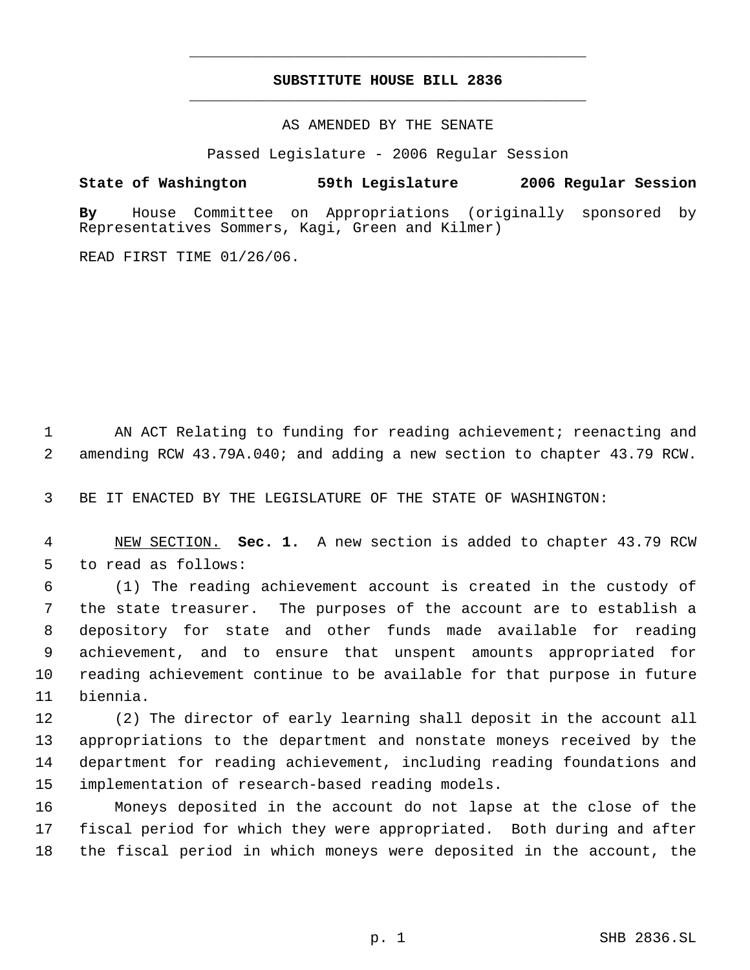# **SUBSTITUTE HOUSE BILL 2836** \_\_\_\_\_\_\_\_\_\_\_\_\_\_\_\_\_\_\_\_\_\_\_\_\_\_\_\_\_\_\_\_\_\_\_\_\_\_\_\_\_\_\_\_\_

\_\_\_\_\_\_\_\_\_\_\_\_\_\_\_\_\_\_\_\_\_\_\_\_\_\_\_\_\_\_\_\_\_\_\_\_\_\_\_\_\_\_\_\_\_

AS AMENDED BY THE SENATE

Passed Legislature - 2006 Regular Session

**State of Washington 59th Legislature 2006 Regular Session**

**By** House Committee on Appropriations (originally sponsored by Representatives Sommers, Kagi, Green and Kilmer)

READ FIRST TIME 01/26/06.

 AN ACT Relating to funding for reading achievement; reenacting and amending RCW 43.79A.040; and adding a new section to chapter 43.79 RCW.

BE IT ENACTED BY THE LEGISLATURE OF THE STATE OF WASHINGTON:

 NEW SECTION. **Sec. 1.** A new section is added to chapter 43.79 RCW to read as follows:

 (1) The reading achievement account is created in the custody of the state treasurer. The purposes of the account are to establish a depository for state and other funds made available for reading achievement, and to ensure that unspent amounts appropriated for reading achievement continue to be available for that purpose in future biennia.

 (2) The director of early learning shall deposit in the account all appropriations to the department and nonstate moneys received by the department for reading achievement, including reading foundations and implementation of research-based reading models.

 Moneys deposited in the account do not lapse at the close of the fiscal period for which they were appropriated. Both during and after the fiscal period in which moneys were deposited in the account, the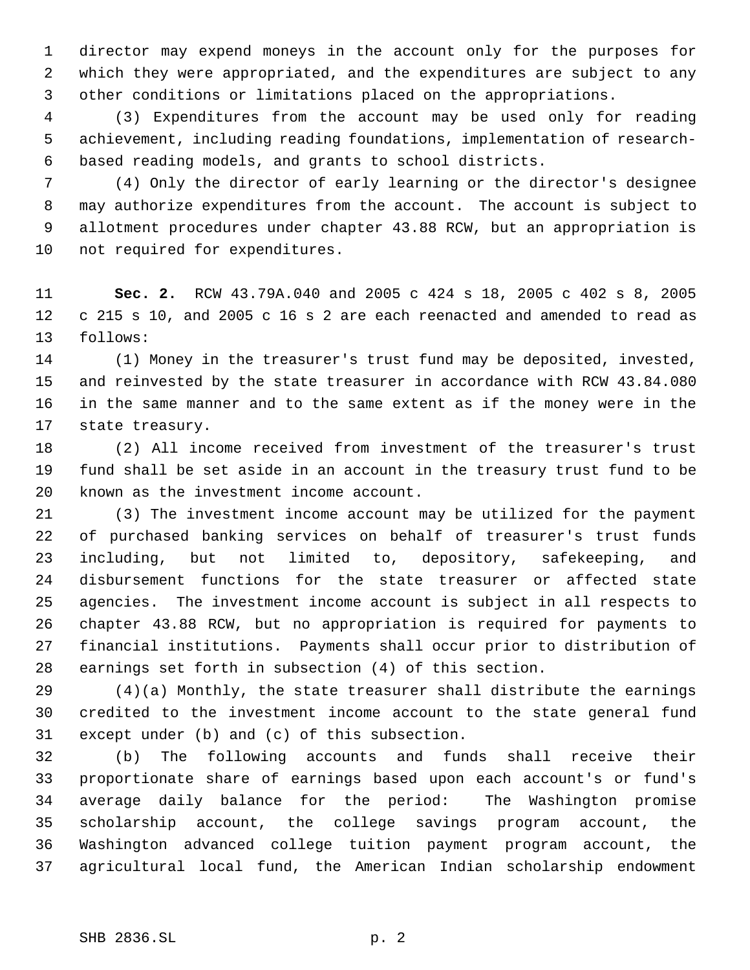director may expend moneys in the account only for the purposes for which they were appropriated, and the expenditures are subject to any other conditions or limitations placed on the appropriations.

 (3) Expenditures from the account may be used only for reading achievement, including reading foundations, implementation of research- based reading models, and grants to school districts.

 (4) Only the director of early learning or the director's designee may authorize expenditures from the account. The account is subject to allotment procedures under chapter 43.88 RCW, but an appropriation is not required for expenditures.

 **Sec. 2.** RCW 43.79A.040 and 2005 c 424 s 18, 2005 c 402 s 8, 2005 c 215 s 10, and 2005 c 16 s 2 are each reenacted and amended to read as follows:

 (1) Money in the treasurer's trust fund may be deposited, invested, and reinvested by the state treasurer in accordance with RCW 43.84.080 in the same manner and to the same extent as if the money were in the state treasury.

 (2) All income received from investment of the treasurer's trust fund shall be set aside in an account in the treasury trust fund to be known as the investment income account.

 (3) The investment income account may be utilized for the payment of purchased banking services on behalf of treasurer's trust funds including, but not limited to, depository, safekeeping, and disbursement functions for the state treasurer or affected state agencies. The investment income account is subject in all respects to chapter 43.88 RCW, but no appropriation is required for payments to financial institutions. Payments shall occur prior to distribution of earnings set forth in subsection (4) of this section.

 (4)(a) Monthly, the state treasurer shall distribute the earnings credited to the investment income account to the state general fund except under (b) and (c) of this subsection.

 (b) The following accounts and funds shall receive their proportionate share of earnings based upon each account's or fund's average daily balance for the period: The Washington promise scholarship account, the college savings program account, the Washington advanced college tuition payment program account, the agricultural local fund, the American Indian scholarship endowment